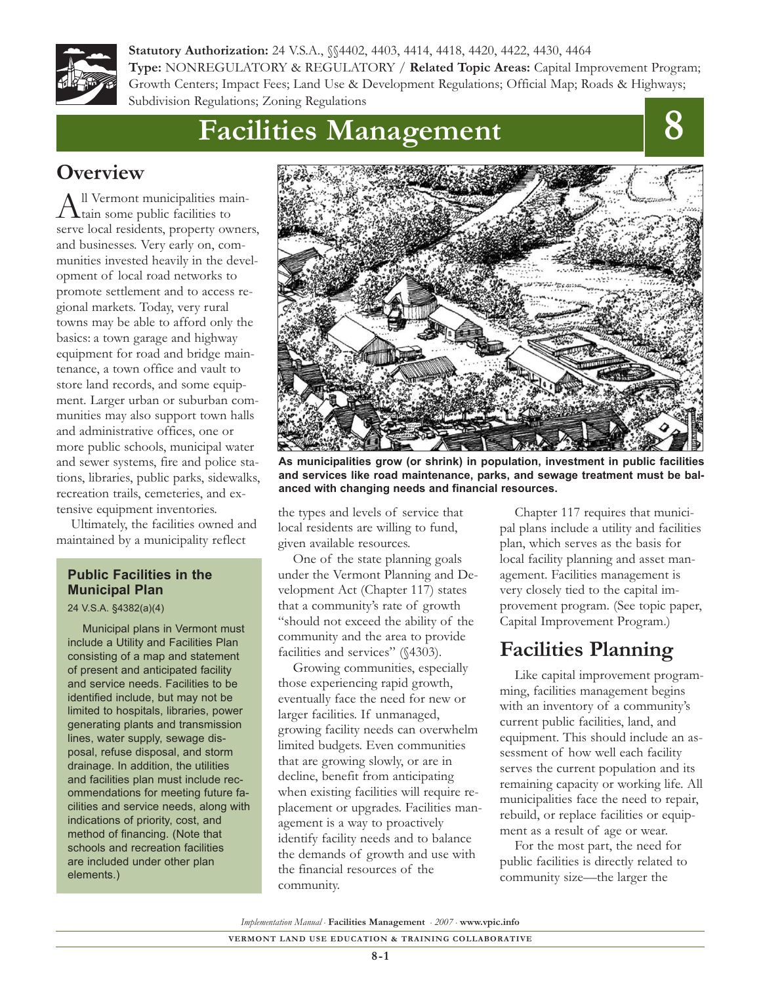

**Statutory Authorization:** 24 V.S.A., §§4402, 4403, 4414, 4418, 4420, 4422, 4430, 4464 **Type:** NONREGULATORY & REGULATORY / **Related Topic Areas:** Capital Improvement Program; Growth Centers; Impact Fees; Land Use & Development Regulations; Official Map; Roads & Highways; Subdivision Regulations; Zoning Regulations

# **Facilities Management**



# **Overview**

All Vermont municipalities main-<br>tain some public facilities to serve local residents, property owners, and businesses. Very early on, communities invested heavily in the development of local road networks to promote settlement and to access regional markets. Today, very rural towns may be able to afford only the basics: a town garage and highway equipment for road and bridge maintenance, a town office and vault to store land records, and some equipment. Larger urban or suburban communities may also support town halls and administrative offices, one or more public schools, municipal water and sewer systems, fire and police stations, libraries, public parks, sidewalks, recreation trails, cemeteries, and extensive equipment inventories.

Ultimately, the facilities owned and maintained by a municipality reflect

#### **Public Facilities in the Municipal Plan**

#### 24 V.S.A. §4382(a)(4)

Municipal plans in Vermont must include a Utility and Facilities Plan consisting of a map and statement of present and anticipated facility and service needs. Facilities to be identified include, but may not be limited to hospitals, libraries, power generating plants and transmission lines, water supply, sewage disposal, refuse disposal, and storm drainage. In addition, the utilities and facilities plan must include recommendations for meeting future facilities and service needs, along with indications of priority, cost, and method of financing. (Note that schools and recreation facilities are included under other plan elements.)



**As municipalities grow (or shrink) in population, investment in public facilities and services like road maintenance, parks, and sewage treatment must be balanced with changing needs and financial resources.**

the types and levels of service that local residents are willing to fund, given available resources.

One of the state planning goals under the Vermont Planning and Development Act (Chapter 117) states that a community's rate of growth "should not exceed the ability of the community and the area to provide facilities and services" (§4303).

Growing communities, especially those experiencing rapid growth, eventually face the need for new or larger facilities. If unmanaged, growing facility needs can overwhelm limited budgets. Even communities that are growing slowly, or are in decline, benefit from anticipating when existing facilities will require replacement or upgrades. Facilities management is a way to proactively identify facility needs and to balance the demands of growth and use with the financial resources of the community.

Chapter 117 requires that municipal plans include a utility and facilities plan, which serves as the basis for local facility planning and asset management. Facilities management is very closely tied to the capital improvement program. (See topic paper, Capital Improvement Program.)

# **Facilities Planning**

Like capital improvement programming, facilities management begins with an inventory of a community's current public facilities, land, and equipment. This should include an assessment of how well each facility serves the current population and its remaining capacity or working life. All municipalities face the need to repair, rebuild, or replace facilities or equipment as a result of age or wear.

For the most part, the need for public facilities is directly related to community size—the larger the

*Implementation Manual* • **Facilities Management** • *2007* • **www.vpic.info**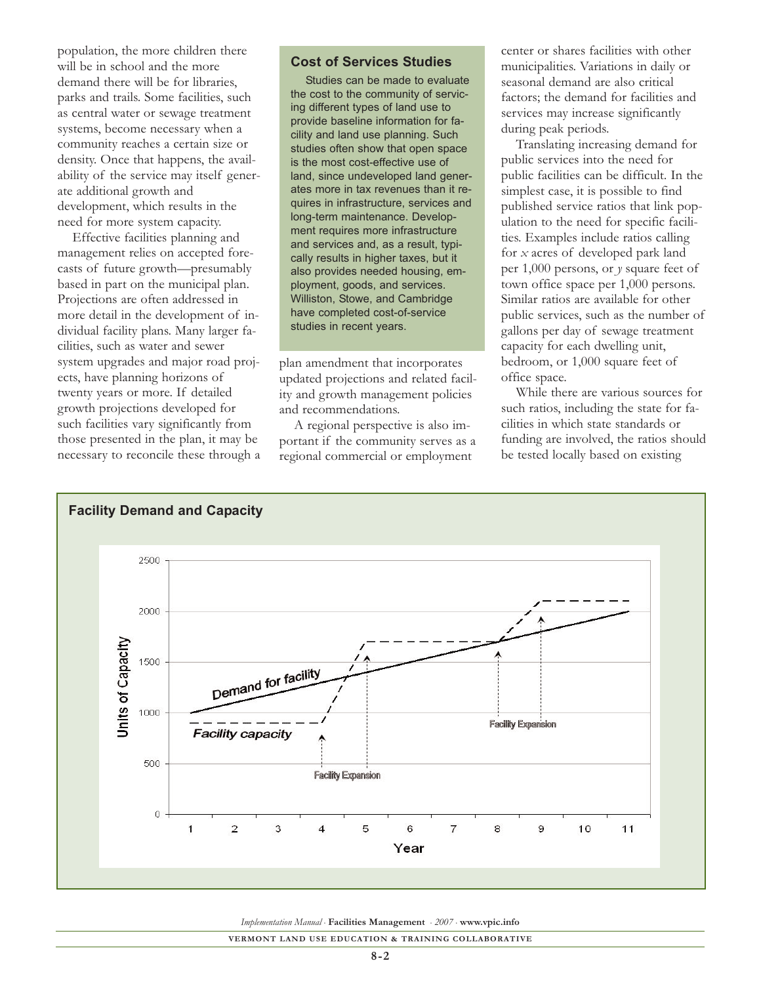population, the more children there will be in school and the more demand there will be for libraries, parks and trails. Some facilities, such as central water or sewage treatment systems, become necessary when a community reaches a certain size or density. Once that happens, the availability of the service may itself generate additional growth and development, which results in the need for more system capacity.

Effective facilities planning and management relies on accepted forecasts of future growth—presumably based in part on the municipal plan. Projections are often addressed in more detail in the development of individual facility plans. Many larger facilities, such as water and sewer system upgrades and major road projects, have planning horizons of twenty years or more. If detailed growth projections developed for such facilities vary significantly from those presented in the plan, it may be necessary to reconcile these through a

#### **Cost of Services Studies**

Studies can be made to evaluate the cost to the community of servicing different types of land use to provide baseline information for facility and land use planning. Such studies often show that open space is the most cost-effective use of land, since undeveloped land generates more in tax revenues than it requires in infrastructure, services and long-term maintenance. Development requires more infrastructure and services and, as a result, typically results in higher taxes, but it also provides needed housing, employment, goods, and services. Williston, Stowe, and Cambridge have completed cost-of-service studies in recent years.

plan amendment that incorporates updated projections and related facility and growth management policies and recommendations.

A regional perspective is also important if the community serves as a regional commercial or employment

center or shares facilities with other municipalities. Variations in daily or seasonal demand are also critical factors; the demand for facilities and services may increase significantly during peak periods.

Translating increasing demand for public services into the need for public facilities can be difficult. In the simplest case, it is possible to find published service ratios that link population to the need for specific facilities. Examples include ratios calling for *x* acres of developed park land per 1,000 persons, or *y* square feet of town office space per 1,000 persons. Similar ratios are available for other public services, such as the number of gallons per day of sewage treatment capacity for each dwelling unit, bedroom, or 1,000 square feet of office space.

While there are various sources for such ratios, including the state for facilities in which state standards or funding are involved, the ratios should be tested locally based on existing



*Implementation Manual* • **Facilities Management** • *2007* • **www.vpic.info**

**VERMONT LAND USE EDUCATION & TRAINING COLLABORATIVE**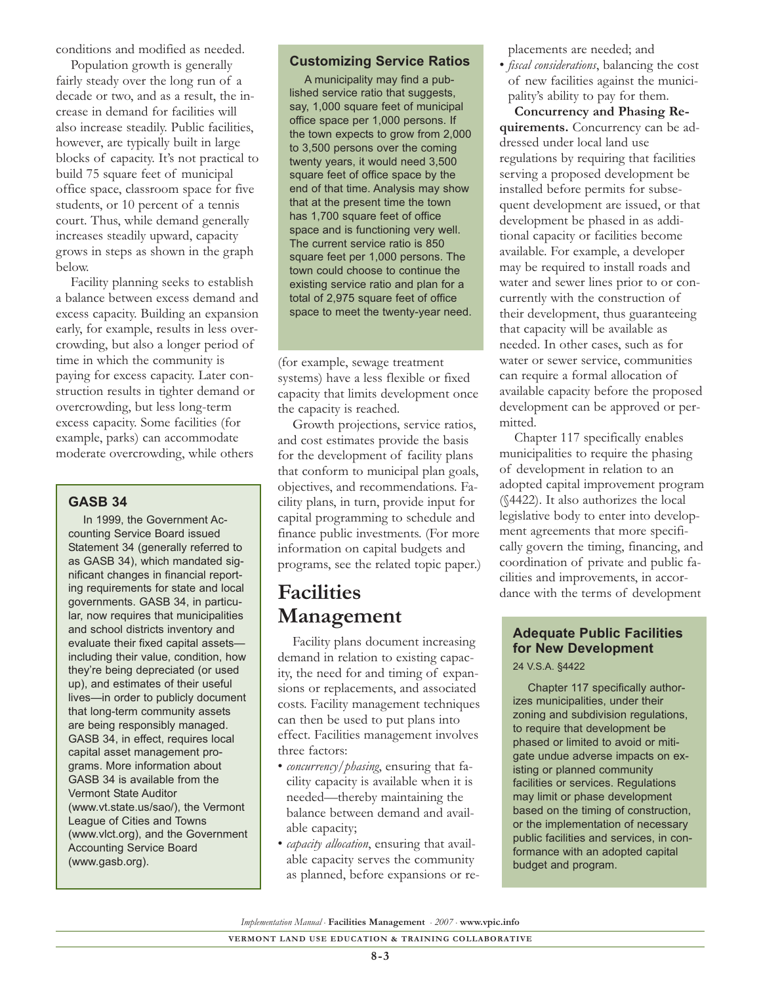conditions and modified as needed.

Population growth is generally fairly steady over the long run of a decade or two, and as a result, the increase in demand for facilities will also increase steadily. Public facilities, however, are typically built in large blocks of capacity. It's not practical to build 75 square feet of municipal office space, classroom space for five students, or 10 percent of a tennis court. Thus, while demand generally increases steadily upward, capacity grows in steps as shown in the graph below.

Facility planning seeks to establish a balance between excess demand and excess capacity. Building an expansion early, for example, results in less overcrowding, but also a longer period of time in which the community is paying for excess capacity. Later construction results in tighter demand or overcrowding, but less long-term excess capacity. Some facilities (for example, parks) can accommodate moderate overcrowding, while others

#### **GASB 34**

In 1999, the Government Accounting Service Board issued Statement 34 (generally referred to as GASB 34), which mandated significant changes in financial reporting requirements for state and local governments. GASB 34, in particular, now requires that municipalities and school districts inventory and evaluate their fixed capital assets including their value, condition, how they're being depreciated (or used up), and estimates of their useful lives—in order to publicly document that long-term community assets are being responsibly managed. GASB 34, in effect, requires local capital asset management programs. More information about GASB 34 is available from the Vermont State Auditor (www.vt.state.us/sao/), the Vermont League of Cities and Towns (www.vlct.org), and the Government Accounting Service Board (www.gasb.org).

#### **Customizing Service Ratios**

A municipality may find a published service ratio that suggests, say, 1,000 square feet of municipal office space per 1,000 persons. If the town expects to grow from 2,000 to 3,500 persons over the coming twenty years, it would need 3,500 square feet of office space by the end of that time. Analysis may show that at the present time the town has 1,700 square feet of office space and is functioning very well. The current service ratio is 850 square feet per 1,000 persons. The town could choose to continue the existing service ratio and plan for a total of 2,975 square feet of office space to meet the twenty-year need.

(for example, sewage treatment systems) have a less flexible or fixed capacity that limits development once the capacity is reached.

Growth projections, service ratios, and cost estimates provide the basis for the development of facility plans that conform to municipal plan goals, objectives, and recommendations. Facility plans, in turn, provide input for capital programming to schedule and finance public investments. (For more information on capital budgets and programs, see the related topic paper.)

# **Facilities Management**

Facility plans document increasing demand in relation to existing capacity, the need for and timing of expansions or replacements, and associated costs. Facility management techniques can then be used to put plans into effect. Facilities management involves three factors:

- *concurrency/phasing*, ensuring that facility capacity is available when it is needed—thereby maintaining the balance between demand and available capacity;
- *capacity allocation*, ensuring that available capacity serves the community as planned, before expansions or re-

placements are needed; and

• *fiscal considerations*, balancing the cost of new facilities against the municipality's ability to pay for them.

**Concurrency and Phasing Requirements.** Concurrency can be addressed under local land use regulations by requiring that facilities serving a proposed development be installed before permits for subsequent development are issued, or that development be phased in as additional capacity or facilities become available. For example, a developer may be required to install roads and water and sewer lines prior to or concurrently with the construction of their development, thus guaranteeing that capacity will be available as needed. In other cases, such as for water or sewer service, communities can require a formal allocation of available capacity before the proposed development can be approved or permitted.

Chapter 117 specifically enables municipalities to require the phasing of development in relation to an adopted capital improvement program (§4422). It also authorizes the local legislative body to enter into development agreements that more specifically govern the timing, financing, and coordination of private and public facilities and improvements, in accordance with the terms of development

#### **Adequate Public Facilities for New Development** 24 V.S.A. §4422

Chapter 117 specifically authorizes municipalities, under their zoning and subdivision regulations, to require that development be phased or limited to avoid or mitigate undue adverse impacts on existing or planned community facilities or services. Regulations may limit or phase development based on the timing of construction, or the implementation of necessary public facilities and services, in conformance with an adopted capital budget and program.

*Implementation Manual* • **Facilities Management** • *2007* • **www.vpic.info**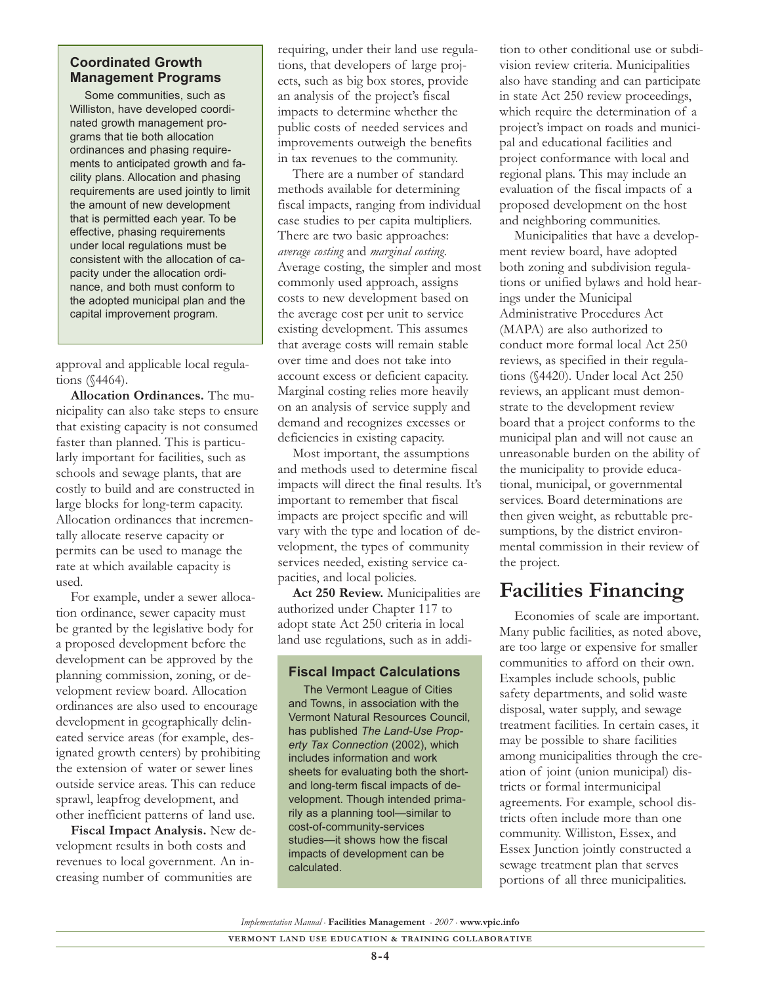#### **Coordinated Growth Management Programs**

Some communities, such as Williston, have developed coordinated growth management programs that tie both allocation ordinances and phasing requirements to anticipated growth and facility plans. Allocation and phasing requirements are used jointly to limit the amount of new development that is permitted each year. To be effective, phasing requirements under local regulations must be consistent with the allocation of capacity under the allocation ordinance, and both must conform to the adopted municipal plan and the capital improvement program.

approval and applicable local regulations (§4464).

**Allocation Ordinances.** The municipality can also take steps to ensure that existing capacity is not consumed faster than planned. This is particularly important for facilities, such as schools and sewage plants, that are costly to build and are constructed in large blocks for long-term capacity. Allocation ordinances that incrementally allocate reserve capacity or permits can be used to manage the rate at which available capacity is used.

For example, under a sewer allocation ordinance, sewer capacity must be granted by the legislative body for a proposed development before the development can be approved by the planning commission, zoning, or development review board. Allocation ordinances are also used to encourage development in geographically delineated service areas (for example, designated growth centers) by prohibiting the extension of water or sewer lines outside service areas. This can reduce sprawl, leapfrog development, and other inefficient patterns of land use.

**Fiscal Impact Analysis.** New development results in both costs and revenues to local government. An increasing number of communities are

requiring, under their land use regulations, that developers of large projects, such as big box stores, provide an analysis of the project's fiscal impacts to determine whether the public costs of needed services and improvements outweigh the benefits in tax revenues to the community.

There are a number of standard methods available for determining fiscal impacts, ranging from individual case studies to per capita multipliers. There are two basic approaches: *average costing* and *marginal costing*. Average costing, the simpler and most commonly used approach, assigns costs to new development based on the average cost per unit to service existing development. This assumes that average costs will remain stable over time and does not take into account excess or deficient capacity. Marginal costing relies more heavily on an analysis of service supply and demand and recognizes excesses or deficiencies in existing capacity.

Most important, the assumptions and methods used to determine fiscal impacts will direct the final results. It's important to remember that fiscal impacts are project specific and will vary with the type and location of development, the types of community services needed, existing service capacities, and local policies.

**Act 250 Review.** Municipalities are authorized under Chapter 117 to adopt state Act 250 criteria in local land use regulations, such as in addi-

#### **Fiscal Impact Calculations**

The Vermont League of Cities and Towns, in association with the Vermont Natural Resources Council, has published *The Land-Use Property Tax Connection* (2002), which includes information and work sheets for evaluating both the shortand long-term fiscal impacts of development. Though intended primarily as a planning tool—similar to cost-of-community-services studies—it shows how the fiscal impacts of development can be calculated.

tion to other conditional use or subdivision review criteria. Municipalities also have standing and can participate in state Act 250 review proceedings, which require the determination of a project's impact on roads and municipal and educational facilities and project conformance with local and regional plans. This may include an evaluation of the fiscal impacts of a proposed development on the host and neighboring communities.

Municipalities that have a development review board, have adopted both zoning and subdivision regulations or unified bylaws and hold hearings under the Municipal Administrative Procedures Act (MAPA) are also authorized to conduct more formal local Act 250 reviews, as specified in their regulations (§4420). Under local Act 250 reviews, an applicant must demonstrate to the development review board that a project conforms to the municipal plan and will not cause an unreasonable burden on the ability of the municipality to provide educational, municipal, or governmental services. Board determinations are then given weight, as rebuttable presumptions, by the district environmental commission in their review of the project.

# **Facilities Financing**

Economies of scale are important. Many public facilities, as noted above, are too large or expensive for smaller communities to afford on their own. Examples include schools, public safety departments, and solid waste disposal, water supply, and sewage treatment facilities. In certain cases, it may be possible to share facilities among municipalities through the creation of joint (union municipal) districts or formal intermunicipal agreements. For example, school districts often include more than one community. Williston, Essex, and Essex Junction jointly constructed a sewage treatment plan that serves portions of all three municipalities.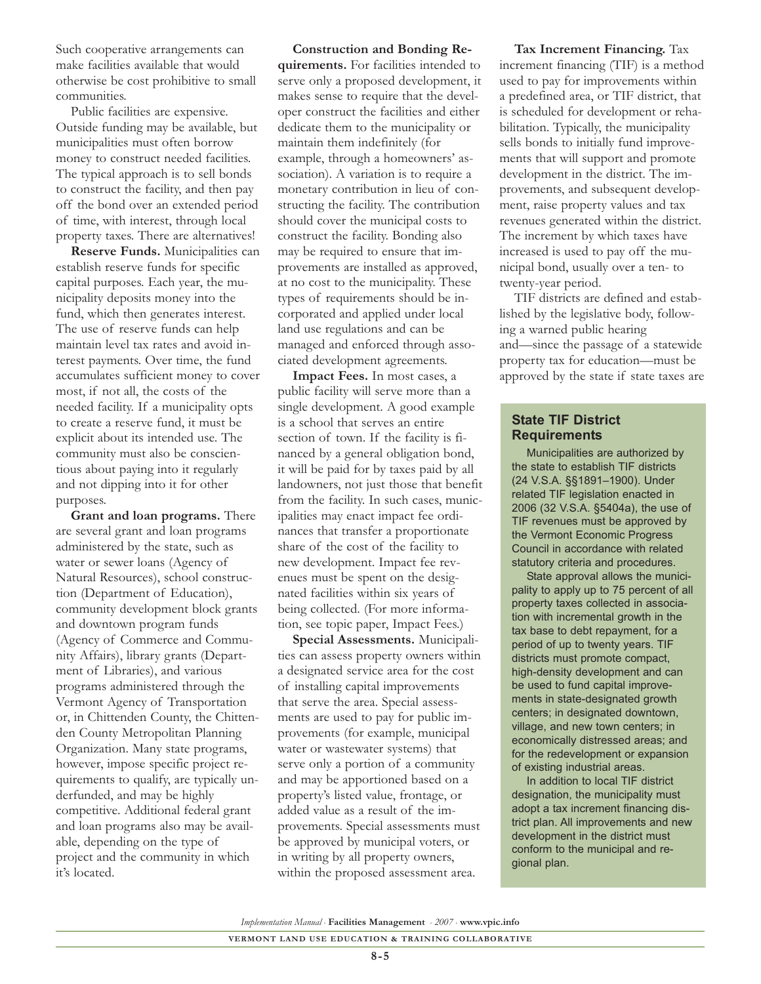Such cooperative arrangements can make facilities available that would otherwise be cost prohibitive to small communities.

Public facilities are expensive. Outside funding may be available, but municipalities must often borrow money to construct needed facilities. The typical approach is to sell bonds to construct the facility, and then pay off the bond over an extended period of time, with interest, through local property taxes. There are alternatives!

**Reserve Funds.** Municipalities can establish reserve funds for specific capital purposes. Each year, the municipality deposits money into the fund, which then generates interest. The use of reserve funds can help maintain level tax rates and avoid interest payments. Over time, the fund accumulates sufficient money to cover most, if not all, the costs of the needed facility. If a municipality opts to create a reserve fund, it must be explicit about its intended use. The community must also be conscientious about paying into it regularly and not dipping into it for other purposes.

**Grant and loan programs.** There are several grant and loan programs administered by the state, such as water or sewer loans (Agency of Natural Resources), school construction (Department of Education), community development block grants and downtown program funds (Agency of Commerce and Community Affairs), library grants (Department of Libraries), and various programs administered through the Vermont Agency of Transportation or, in Chittenden County, the Chittenden County Metropolitan Planning Organization. Many state programs, however, impose specific project requirements to qualify, are typically underfunded, and may be highly competitive. Additional federal grant and loan programs also may be available, depending on the type of project and the community in which it's located.

**Construction and Bonding Requirements.** For facilities intended to serve only a proposed development, it makes sense to require that the developer construct the facilities and either dedicate them to the municipality or maintain them indefinitely (for example, through a homeowners' association). A variation is to require a monetary contribution in lieu of constructing the facility. The contribution should cover the municipal costs to construct the facility. Bonding also may be required to ensure that improvements are installed as approved, at no cost to the municipality. These types of requirements should be incorporated and applied under local land use regulations and can be managed and enforced through associated development agreements.

**Impact Fees.** In most cases, a public facility will serve more than a single development. A good example is a school that serves an entire section of town. If the facility is financed by a general obligation bond, it will be paid for by taxes paid by all landowners, not just those that benefit from the facility. In such cases, municipalities may enact impact fee ordinances that transfer a proportionate share of the cost of the facility to new development. Impact fee revenues must be spent on the designated facilities within six years of being collected. (For more information, see topic paper, Impact Fees.)

**Special Assessments.** Municipalities can assess property owners within a designated service area for the cost of installing capital improvements that serve the area. Special assessments are used to pay for public improvements (for example, municipal water or wastewater systems) that serve only a portion of a community and may be apportioned based on a property's listed value, frontage, or added value as a result of the improvements. Special assessments must be approved by municipal voters, or in writing by all property owners, within the proposed assessment area.

**Tax Increment Financing.** Tax increment financing (TIF) is a method used to pay for improvements within a predefined area, or TIF district, that is scheduled for development or rehabilitation. Typically, the municipality sells bonds to initially fund improvements that will support and promote development in the district. The improvements, and subsequent development, raise property values and tax revenues generated within the district. The increment by which taxes have increased is used to pay off the municipal bond, usually over a ten- to twenty-year period.

TIF districts are defined and established by the legislative body, following a warned public hearing and—since the passage of a statewide property tax for education—must be approved by the state if state taxes are

#### **State TIF District Requirements**

Municipalities are authorized by the state to establish TIF districts (24 V.S.A. §§1891–1900). Under related TIF legislation enacted in 2006 (32 V.S.A. §5404a), the use of TIF revenues must be approved by the Vermont Economic Progress Council in accordance with related statutory criteria and procedures.

State approval allows the municipality to apply up to 75 percent of all property taxes collected in association with incremental growth in the tax base to debt repayment, for a period of up to twenty years. TIF districts must promote compact, high-density development and can be used to fund capital improvements in state-designated growth centers; in designated downtown, village, and new town centers; in economically distressed areas; and for the redevelopment or expansion of existing industrial areas.

In addition to local TIF district designation, the municipality must adopt a tax increment financing district plan. All improvements and new development in the district must conform to the municipal and regional plan.

*Implementation Manual* • **Facilities Management** • *2007* • **www.vpic.info**